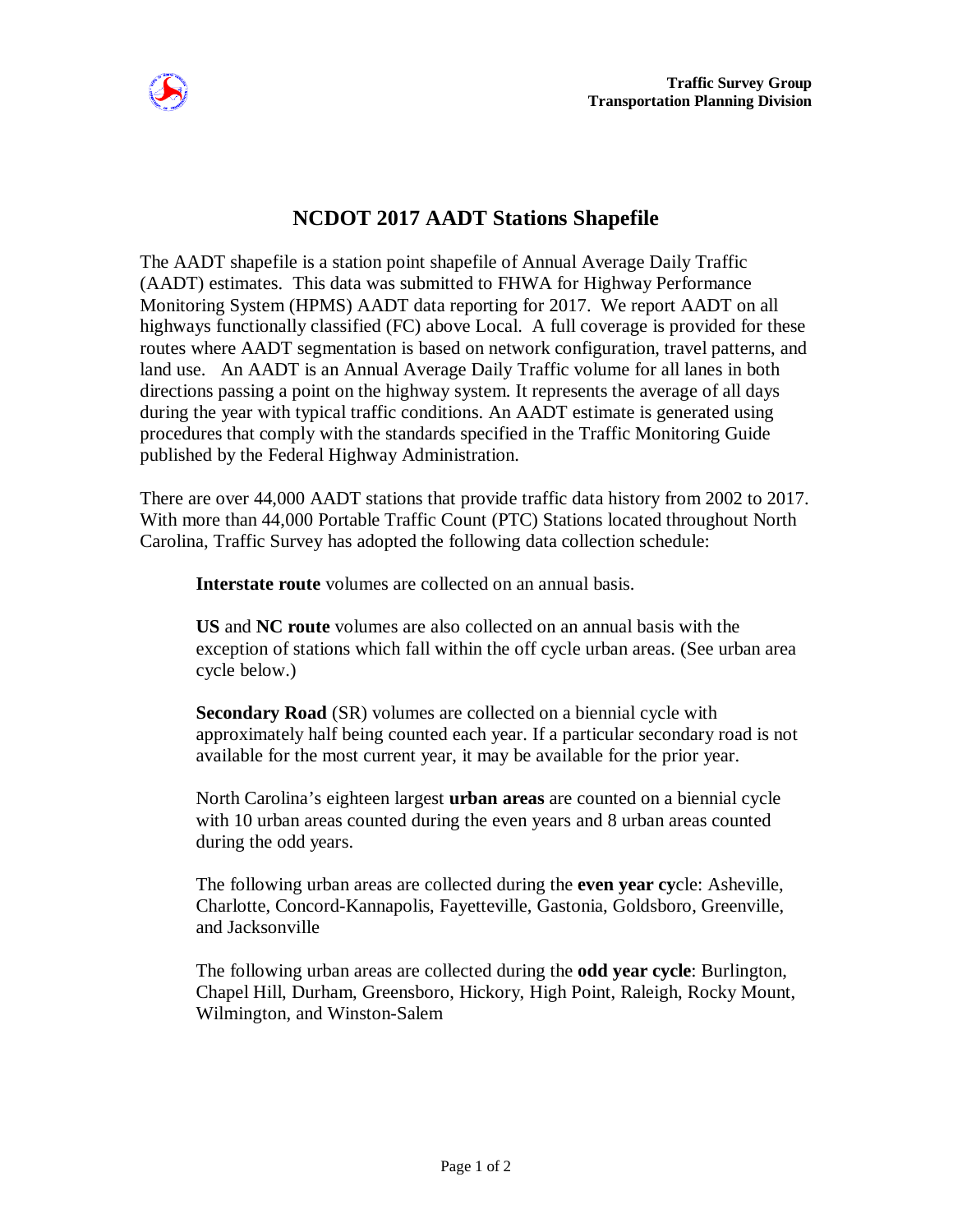

## **NCDOT 2017 AADT Stations Shapefile**

The AADT shapefile is a station point shapefile of Annual Average Daily Traffic (AADT) estimates. This data was submitted to FHWA for Highway Performance Monitoring System (HPMS) AADT data reporting for 2017. We report AADT on all highways functionally classified (FC) above Local. A full coverage is provided for these routes where AADT segmentation is based on network configuration, travel patterns, and land use. An AADT is an Annual Average Daily Traffic volume for all lanes in both directions passing a point on the highway system. It represents the average of all days during the year with typical traffic conditions. An AADT estimate is generated using procedures that comply with the standards specified in the Traffic Monitoring Guide published by the Federal Highway Administration.

There are over 44,000 AADT stations that provide traffic data history from 2002 to 2017. With more than 44,000 Portable Traffic Count (PTC) Stations located throughout North Carolina, Traffic Survey has adopted the following data collection schedule:

**Interstate route** volumes are collected on an annual basis.

**US** and **NC route** volumes are also collected on an annual basis with the exception of stations which fall within the off cycle urban areas. (See urban area cycle below.)

**Secondary Road** (SR) volumes are collected on a biennial cycle with approximately half being counted each year. If a particular secondary road is not available for the most current year, it may be available for the prior year.

North Carolina's eighteen largest **urban areas** are counted on a biennial cycle with 10 urban areas counted during the even years and 8 urban areas counted during the odd years.

The following urban areas are collected during the **even year cy**cle: Asheville, Charlotte, Concord-Kannapolis, Fayetteville, Gastonia, Goldsboro, Greenville, and Jacksonville

The following urban areas are collected during the **odd year cycle**: Burlington, Chapel Hill, Durham, Greensboro, Hickory, High Point, Raleigh, Rocky Mount, Wilmington, and Winston-Salem